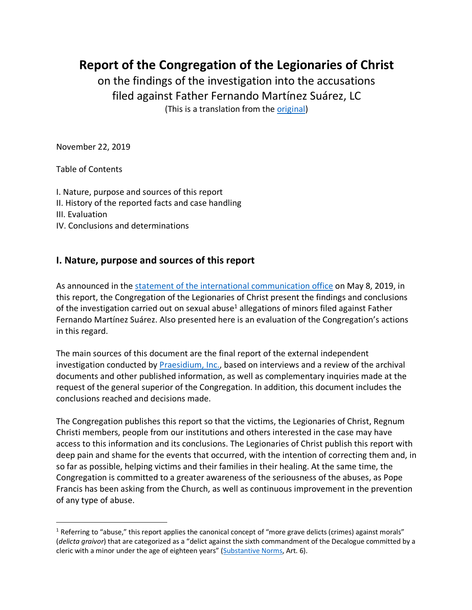**Report of the Congregation of the Legionaries of Christ**

on the findings of the investigation into the accusations filed against Father Fernando Martínez Suárez, LC (This is a translation from the original)

November 22, 2019

Table of Contents

I. Nature, purpose and sources of this report II. History of the reported facts and case handling III. Evaluation IV. Conclusions and determinations

## **I. Nature, purpose and sources of this report**

As announced in the statement of the international communication office on May 8, 2019, in this report, the Congregation of the Legionaries of Christ present the findings and conclusions of the investigation carried out on sexual abuse<sup>1</sup> allegations of minors filed against Father Fernando Martínez Suárez. Also presented here is an evaluation of the Congregation's actions in this regard.

The main sources of this document are the final report of the external independent investigation conducted by Praesidium, Inc., based on interviews and a review of the archival documents and other published information, as well as complementary inquiries made at the request of the general superior of the Congregation. In addition, this document includes the conclusions reached and decisions made.

The Congregation publishes this report so that the victims, the Legionaries of Christ, Regnum Christi members, people from our institutions and others interested in the case may have access to this information and its conclusions. The Legionaries of Christ publish this report with deep pain and shame for the events that occurred, with the intention of correcting them and, in so far as possible, helping victims and their families in their healing. At the same time, the Congregation is committed to a greater awareness of the seriousness of the abuses, as Pope Francis has been asking from the Church, as well as continuous improvement in the prevention of any type of abuse.

 $1$  Referring to "abuse," this report applies the canonical concept of "more grave delicts (crimes) against morals" (*delicta graivor*) that are categorized as a "delict against the sixth commandment of the Decalogue committed by a cleric with a minor under the age of eighteen years" (Substantive Norms, Art. 6).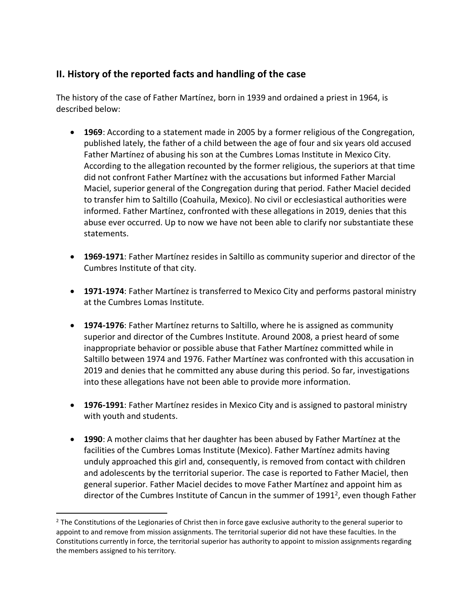## **II. History of the reported facts and handling of the case**

The history of the case of Father Martínez, born in 1939 and ordained a priest in 1964, is described below:

- **1969**: According to a statement made in 2005 by a former religious of the Congregation, published lately, the father of a child between the age of four and six years old accused Father Martínez of abusing his son at the Cumbres Lomas Institute in Mexico City. According to the allegation recounted by the former religious, the superiors at that time did not confront Father Martínez with the accusations but informed Father Marcial Maciel, superior general of the Congregation during that period. Father Maciel decided to transfer him to Saltillo (Coahuila, Mexico). No civil or ecclesiastical authorities were informed. Father Martínez, confronted with these allegations in 2019, denies that this abuse ever occurred. Up to now we have not been able to clarify nor substantiate these statements.
- **1969-1971**: Father Martínez resides in Saltillo as community superior and director of the Cumbres Institute of that city.
- **1971-1974**: Father Martínez is transferred to Mexico City and performs pastoral ministry at the Cumbres Lomas Institute.
- **1974-1976**: Father Martínez returns to Saltillo, where he is assigned as community superior and director of the Cumbres Institute. Around 2008, a priest heard of some inappropriate behavior or possible abuse that Father Martínez committed while in Saltillo between 1974 and 1976. Father Martínez was confronted with this accusation in 2019 and denies that he committed any abuse during this period. So far, investigations into these allegations have not been able to provide more information.
- **1976-1991**: Father Martínez resides in Mexico City and is assigned to pastoral ministry with youth and students.
- **1990**: A mother claims that her daughter has been abused by Father Martínez at the facilities of the Cumbres Lomas Institute (Mexico). Father Martínez admits having unduly approached this girl and, consequently, is removed from contact with children and adolescents by the territorial superior. The case is reported to Father Maciel, then general superior. Father Maciel decides to move Father Martínez and appoint him as director of the Cumbres Institute of Cancun in the summer of 1991<sup>2</sup>, even though Father

 $<sup>2</sup>$  The Constitutions of the Legionaries of Christ then in force gave exclusive authority to the general superior to</sup> appoint to and remove from mission assignments. The territorial superior did not have these faculties. In the Constitutions currently in force, the territorial superior has authority to appoint to mission assignments regarding the members assigned to his territory.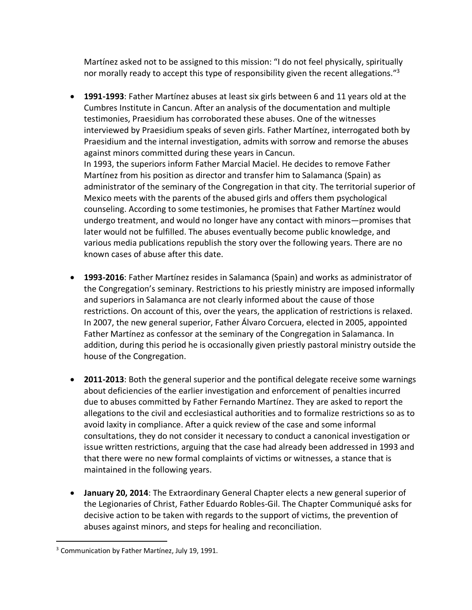Martínez asked not to be assigned to this mission: "I do not feel physically, spiritually nor morally ready to accept this type of responsibility given the recent allegations."<sup>3</sup>

- **1991-1993**: Father Martínez abuses at least six girls between 6 and 11 years old at the Cumbres Institute in Cancun. After an analysis of the documentation and multiple testimonies, Praesidium has corroborated these abuses. One of the witnesses interviewed by Praesidium speaks of seven girls. Father Martínez, interrogated both by Praesidium and the internal investigation, admits with sorrow and remorse the abuses against minors committed during these years in Cancun. In 1993, the superiors inform Father Marcial Maciel. He decides to remove Father Martínez from his position as director and transfer him to Salamanca (Spain) as administrator of the seminary of the Congregation in that city. The territorial superior of Mexico meets with the parents of the abused girls and offers them psychological counseling. According to some testimonies, he promises that Father Martínez would undergo treatment, and would no longer have any contact with minors—promises that later would not be fulfilled. The abuses eventually become public knowledge, and various media publications republish the story over the following years. There are no
- **1993-2016**: Father Martínez resides in Salamanca (Spain) and works as administrator of the Congregation's seminary. Restrictions to his priestly ministry are imposed informally and superiors in Salamanca are not clearly informed about the cause of those restrictions. On account of this, over the years, the application of restrictions is relaxed. In 2007, the new general superior, Father Álvaro Corcuera, elected in 2005, appointed Father Martínez as confessor at the seminary of the Congregation in Salamanca. In addition, during this period he is occasionally given priestly pastoral ministry outside the house of the Congregation.
- **2011-2013**: Both the general superior and the pontifical delegate receive some warnings about deficiencies of the earlier investigation and enforcement of penalties incurred due to abuses committed by Father Fernando Martínez. They are asked to report the allegations to the civil and ecclesiastical authorities and to formalize restrictions so as to avoid laxity in compliance. After a quick review of the case and some informal consultations, they do not consider it necessary to conduct a canonical investigation or issue written restrictions, arguing that the case had already been addressed in 1993 and that there were no new formal complaints of victims or witnesses, a stance that is maintained in the following years.
- **January 20, 2014**: The Extraordinary General Chapter elects a new general superior of the Legionaries of Christ, Father Eduardo Robles-Gil. The Chapter Communiqué asks for decisive action to be taken with regards to the support of victims, the prevention of abuses against minors, and steps for healing and reconciliation.

known cases of abuse after this date.

<sup>&</sup>lt;sup>3</sup> Communication by Father Martínez, July 19, 1991.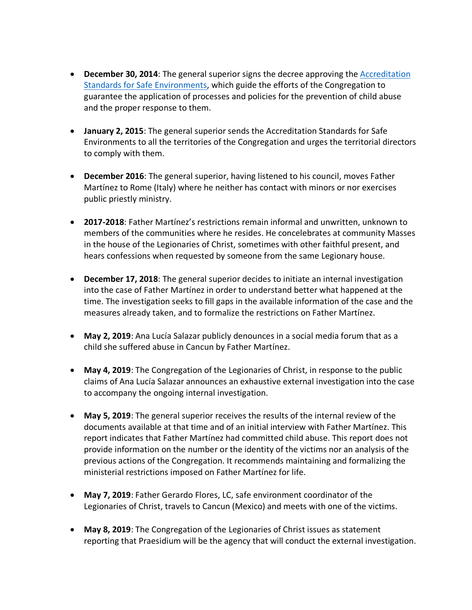- **December 30, 2014**: The general superior signs the decree approving the Accreditation Standards for Safe Environments, which guide the efforts of the Congregation to guarantee the application of processes and policies for the prevention of child abuse and the proper response to them.
- **January 2, 2015**: The general superior sends the Accreditation Standards for Safe Environments to all the territories of the Congregation and urges the territorial directors to comply with them.
- **December 2016**: The general superior, having listened to his council, moves Father Martínez to Rome (Italy) where he neither has contact with minors or nor exercises public priestly ministry.
- **2017-2018**: Father Martínez's restrictions remain informal and unwritten, unknown to members of the communities where he resides. He concelebrates at community Masses in the house of the Legionaries of Christ, sometimes with other faithful present, and hears confessions when requested by someone from the same Legionary house.
- **December 17, 2018**: The general superior decides to initiate an internal investigation into the case of Father Martínez in order to understand better what happened at the time. The investigation seeks to fill gaps in the available information of the case and the measures already taken, and to formalize the restrictions on Father Martínez.
- **May 2, 2019**: Ana Lucía Salazar publicly denounces in a social media forum that as a child she suffered abuse in Cancun by Father Martínez.
- **May 4, 2019**: The Congregation of the Legionaries of Christ, in response to the public claims of Ana Lucía Salazar announces an exhaustive external investigation into the case to accompany the ongoing internal investigation.
- **May 5, 2019**: The general superior receives the results of the internal review of the documents available at that time and of an initial interview with Father Martínez. This report indicates that Father Martínez had committed child abuse. This report does not provide information on the number or the identity of the victims nor an analysis of the previous actions of the Congregation. It recommends maintaining and formalizing the ministerial restrictions imposed on Father Martínez for life.
- **May 7, 2019**: Father Gerardo Flores, LC, safe environment coordinator of the Legionaries of Christ, travels to Cancun (Mexico) and meets with one of the victims.
- **May 8, 2019**: The Congregation of the Legionaries of Christ issues as statement reporting that Praesidium will be the agency that will conduct the external investigation.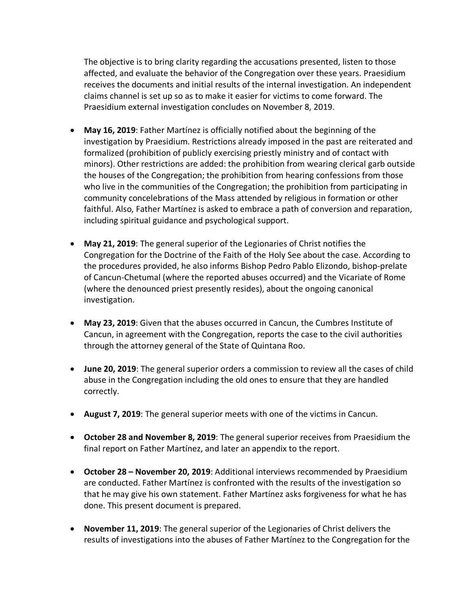The objective is to bring clarity regarding the accusations presented, listen to those affected, and evaluate the behavior of the Congregation over these years. Praesidium receives the documents and initial results of the internal investigation. An independent claims channel is set up so as to make it easier for victims to come forward. The Praesidium external investigation concludes on November 8, 2019.

- **May 16, 2019**: Father Martínez is officially notified about the beginning of the investigation by Praesidium. Restrictions already imposed in the past are reiterated and formalized (prohibition of publicly exercising priestly ministry and of contact with minors). Other restrictions are added: the prohibition from wearing clerical garb outside the houses of the Congregation; the prohibition from hearing confessions from those who live in the communities of the Congregation; the prohibition from participating in community concelebrations of the Mass attended by religious in formation or other faithful. Also, Father Martínez is asked to embrace a path of conversion and reparation, including spiritual guidance and psychological support.
- **May 21, 2019**: The general superior of the Legionaries of Christ notifies the Congregation for the Doctrine of the Faith of the Holy See about the case. According to the procedures provided, he also informs Bishop Pedro Pablo Elizondo, bishop-prelate of Cancun-Chetumal (where the reported abuses occurred) and the Vicariate of Rome (where the denounced priest presently resides), about the ongoing canonical investigation.
- **May 23, 2019**: Given that the abuses occurred in Cancun, the Cumbres Institute of Cancun, in agreement with the Congregation, reports the case to the civil authorities through the attorney general of the State of Quintana Roo.
- **June 20, 2019**: The general superior orders a commission to review all the cases of child abuse in the Congregation including the old ones to ensure that they are handled correctly.
- **August 7, 2019**: The general superior meets with one of the victims in Cancun.
- **October 28 and November 8, 2019**: The general superior receives from Praesidium the final report on Father Martínez, and later an appendix to the report.
- **October 28 – November 20, 2019**: Additional interviews recommended by Praesidium are conducted. Father Martínez is confronted with the results of the investigation so that he may give his own statement. Father Martínez asks forgiveness for what he has done. This present document is prepared.
- **November 11, 2019**: The general superior of the Legionaries of Christ delivers the results of investigations into the abuses of Father Martínez to the Congregation for the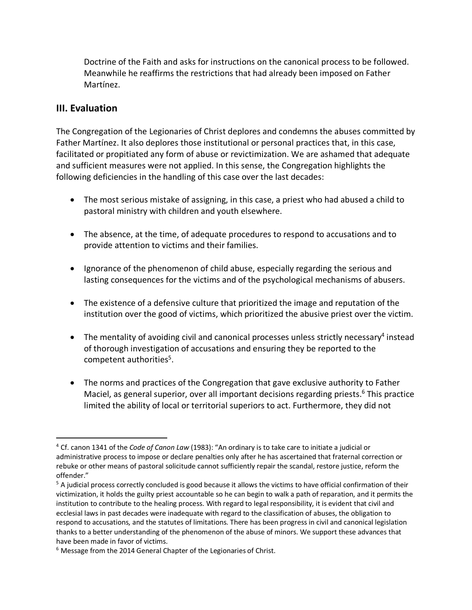Doctrine of the Faith and asks for instructions on the canonical process to be followed. Meanwhile he reaffirms the restrictions that had already been imposed on Father Martínez.

## **III. Evaluation**

The Congregation of the Legionaries of Christ deplores and condemns the abuses committed by Father Martínez. It also deplores those institutional or personal practices that, in this case, facilitated or propitiated any form of abuse or revictimization. We are ashamed that adequate and sufficient measures were not applied. In this sense, the Congregation highlights the following deficiencies in the handling of this case over the last decades:

- The most serious mistake of assigning, in this case, a priest who had abused a child to pastoral ministry with children and youth elsewhere.
- The absence, at the time, of adequate procedures to respond to accusations and to provide attention to victims and their families.
- Ignorance of the phenomenon of child abuse, especially regarding the serious and lasting consequences for the victims and of the psychological mechanisms of abusers.
- The existence of a defensive culture that prioritized the image and reputation of the institution over the good of victims, which prioritized the abusive priest over the victim.
- The mentality of avoiding civil and canonical processes unless strictly necessary<sup>4</sup> instead of thorough investigation of accusations and ensuring they be reported to the competent authorities<sup>5</sup>.
- The norms and practices of the Congregation that gave exclusive authority to Father Maciel, as general superior, over all important decisions regarding priests.<sup>6</sup> This practice limited the ability of local or territorial superiors to act. Furthermore, they did not

 <sup>4</sup> Cf. canon 1341 of the *Code of Canon Law* (1983): "An ordinary is to take care to initiate a judicial or administrative process to impose or declare penalties only after he has ascertained that fraternal correction or rebuke or other means of pastoral solicitude cannot sufficiently repair the scandal, restore justice, reform the offender."

<sup>&</sup>lt;sup>5</sup> A judicial process correctly concluded is good because it allows the victims to have official confirmation of their victimization, it holds the guilty priest accountable so he can begin to walk a path of reparation, and it permits the institution to contribute to the healing process. With regard to legal responsibility, it is evident that civil and ecclesial laws in past decades were inadequate with regard to the classification of abuses, the obligation to respond to accusations, and the statutes of limitations. There has been progress in civil and canonical legislation thanks to a better understanding of the phenomenon of the abuse of minors. We support these advances that have been made in favor of victims.

<sup>&</sup>lt;sup>6</sup> Message from the 2014 General Chapter of the Legionaries of Christ.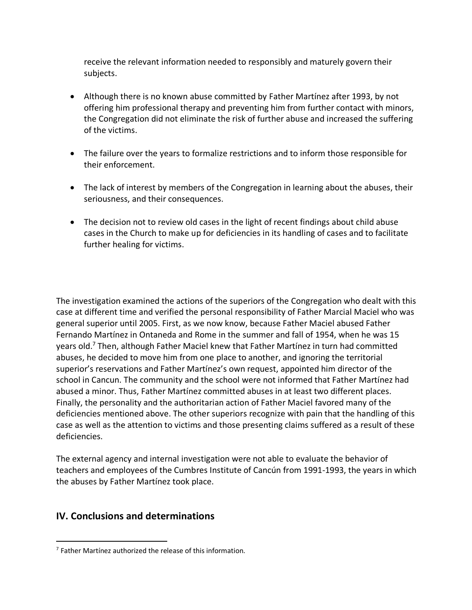receive the relevant information needed to responsibly and maturely govern their subjects.

- Although there is no known abuse committed by Father Martínez after 1993, by not offering him professional therapy and preventing him from further contact with minors, the Congregation did not eliminate the risk of further abuse and increased the suffering of the victims.
- The failure over the years to formalize restrictions and to inform those responsible for their enforcement.
- The lack of interest by members of the Congregation in learning about the abuses, their seriousness, and their consequences.
- The decision not to review old cases in the light of recent findings about child abuse cases in the Church to make up for deficiencies in its handling of cases and to facilitate further healing for victims.

The investigation examined the actions of the superiors of the Congregation who dealt with this case at different time and verified the personal responsibility of Father Marcial Maciel who was general superior until 2005. First, as we now know, because Father Maciel abused Father Fernando Martínez in Ontaneda and Rome in the summer and fall of 1954, when he was 15 years old.<sup>7</sup> Then, although Father Maciel knew that Father Martínez in turn had committed abuses, he decided to move him from one place to another, and ignoring the territorial superior's reservations and Father Martínez's own request, appointed him director of the school in Cancun. The community and the school were not informed that Father Martínez had abused a minor. Thus, Father Martínez committed abuses in at least two different places. Finally, the personality and the authoritarian action of Father Maciel favored many of the deficiencies mentioned above. The other superiors recognize with pain that the handling of this case as well as the attention to victims and those presenting claims suffered as a result of these deficiencies.

The external agency and internal investigation were not able to evaluate the behavior of teachers and employees of the Cumbres Institute of Cancún from 1991-1993, the years in which the abuses by Father Martínez took place.

## **IV. Conclusions and determinations**

 $7$  Father Martínez authorized the release of this information.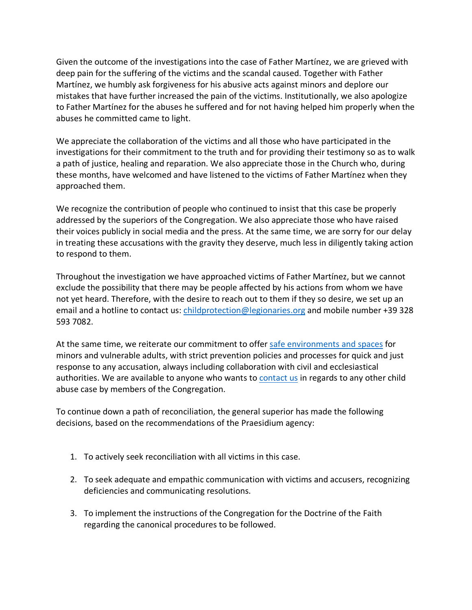Given the outcome of the investigations into the case of Father Martínez, we are grieved with deep pain for the suffering of the victims and the scandal caused. Together with Father Martínez, we humbly ask forgiveness for his abusive acts against minors and deplore our mistakes that have further increased the pain of the victims. Institutionally, we also apologize to Father Martínez for the abuses he suffered and for not having helped him properly when the abuses he committed came to light.

We appreciate the collaboration of the victims and all those who have participated in the investigations for their commitment to the truth and for providing their testimony so as to walk a path of justice, healing and reparation. We also appreciate those in the Church who, during these months, have welcomed and have listened to the victims of Father Martínez when they approached them.

We recognize the contribution of people who continued to insist that this case be properly addressed by the superiors of the Congregation. We also appreciate those who have raised their voices publicly in social media and the press. At the same time, we are sorry for our delay in treating these accusations with the gravity they deserve, much less in diligently taking action to respond to them.

Throughout the investigation we have approached victims of Father Martínez, but we cannot exclude the possibility that there may be people affected by his actions from whom we have not yet heard. Therefore, with the desire to reach out to them if they so desire, we set up an email and a hotline to contact us: childprotection@legionaries.org and mobile number +39 328 593 7082.

At the same time, we reiterate our commitment to offer safe environments and spaces for minors and vulnerable adults, with strict prevention policies and processes for quick and just response to any accusation, always including collaboration with civil and ecclesiastical authorities. We are available to anyone who wants to contact us in regards to any other child abuse case by members of the Congregation.

To continue down a path of reconciliation, the general superior has made the following decisions, based on the recommendations of the Praesidium agency:

- 1. To actively seek reconciliation with all victims in this case.
- 2. To seek adequate and empathic communication with victims and accusers, recognizing deficiencies and communicating resolutions.
- 3. To implement the instructions of the Congregation for the Doctrine of the Faith regarding the canonical procedures to be followed.